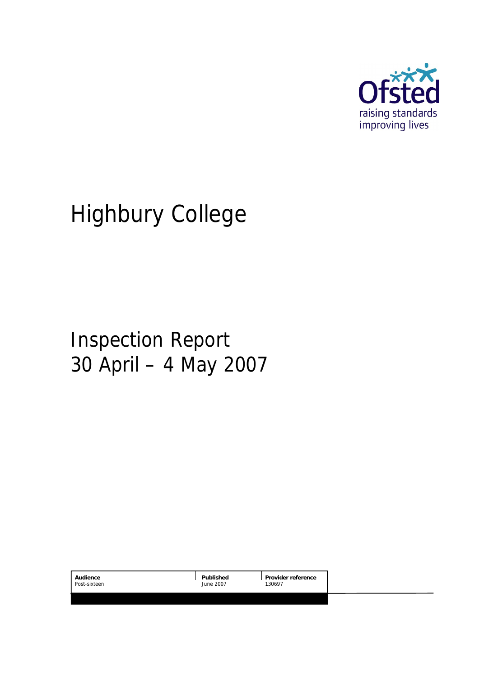

# Highbury College

# Inspection Report 30 April – 4 May 2007

| Audience     | Published | Provider reference |  |
|--------------|-----------|--------------------|--|
| Post-sixteen | June 2007 | 130697             |  |
|              |           |                    |  |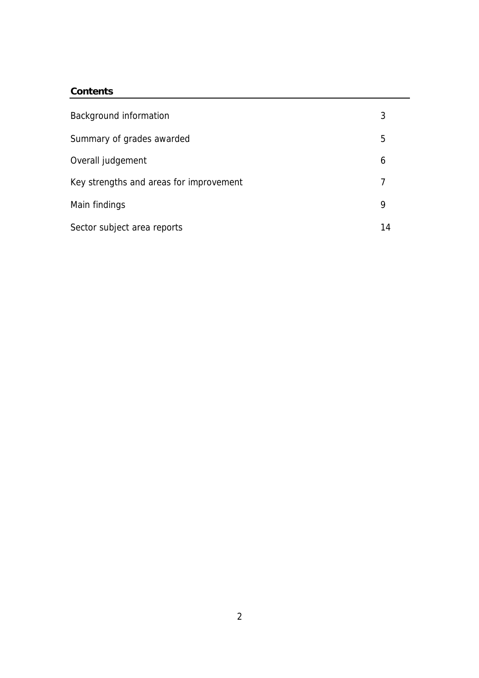#### **Contents**

| Background information                  | 3  |
|-----------------------------------------|----|
| Summary of grades awarded               | 5  |
| Overall judgement                       | 6  |
| Key strengths and areas for improvement |    |
| Main findings                           | 9  |
| Sector subject area reports             | 14 |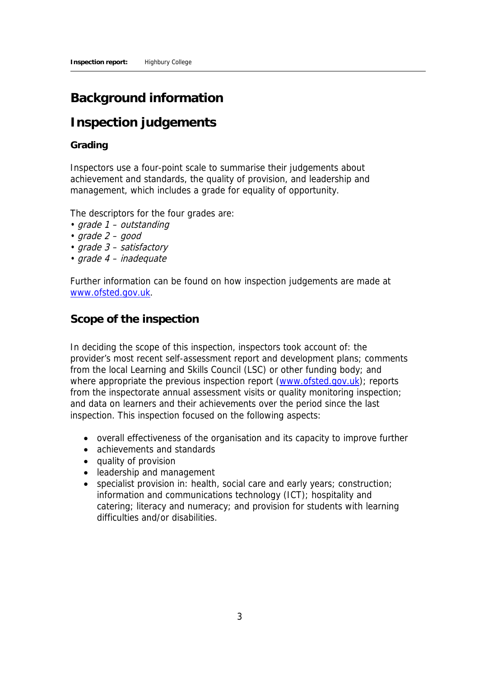# **Background information**

# **Inspection judgements**

#### **Grading**

Inspectors use a four-point scale to summarise their judgements about achievement and standards, the quality of provision, and leadership and management, which includes a grade for equality of opportunity.

The descriptors for the four grades are:

- grade 1 outstanding
- $grade 2 good$
- grade 3 satisfactory
- grade 4 inadequate

Further information can be found on how inspection judgements are made at www.ofsted.gov.uk.

### **Scope of the inspection**

In deciding the scope of this inspection, inspectors took account of: the provider's most recent self-assessment report and development plans; comments from the local Learning and Skills Council (LSC) or other funding body; and where appropriate the previous inspection report (www.ofsted.gov.uk); reports from the inspectorate annual assessment visits or quality monitoring inspection; and data on learners and their achievements over the period since the last inspection. This inspection focused on the following aspects:

- overall effectiveness of the organisation and its capacity to improve further
- achievements and standards
- quality of provision
- leadership and management
- specialist provision in: health, social care and early years; construction; information and communications technology (ICT); hospitality and catering; literacy and numeracy; and provision for students with learning difficulties and/or disabilities.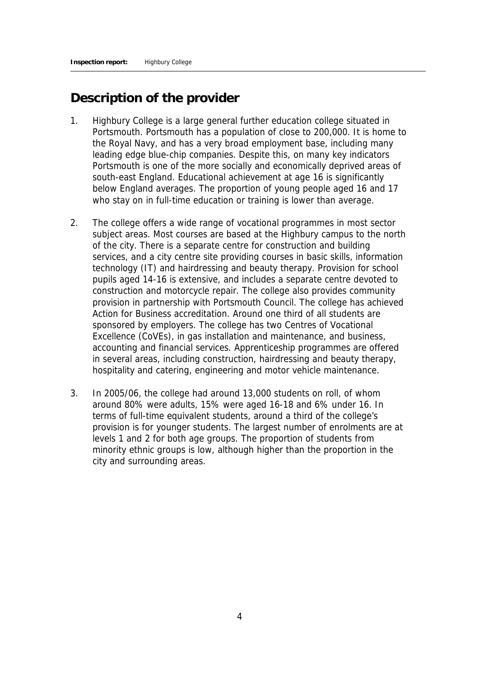# **Description of the provider**

- 1. Highbury College is a large general further education college situated in Portsmouth. Portsmouth has a population of close to 200,000. It is home to the Royal Navy, and has a very broad employment base, including many leading edge blue-chip companies. Despite this, on many key indicators Portsmouth is one of the more socially and economically deprived areas of south-east England. Educational achievement at age 16 is significantly below England averages. The proportion of young people aged 16 and 17 who stay on in full-time education or training is lower than average.
- 2. The college offers a wide range of vocational programmes in most sector subject areas. Most courses are based at the Highbury campus to the north of the city. There is a separate centre for construction and building services, and a city centre site providing courses in basic skills, information technology (IT) and hairdressing and beauty therapy. Provision for school pupils aged 14-16 is extensive, and includes a separate centre devoted to construction and motorcycle repair. The college also provides community provision in partnership with Portsmouth Council. The college has achieved Action for Business accreditation. Around one third of all students are sponsored by employers. The college has two Centres of Vocational Excellence (CoVEs), in gas installation and maintenance, and business, accounting and financial services. Apprenticeship programmes are offered in several areas, including construction, hairdressing and beauty therapy, hospitality and catering, engineering and motor vehicle maintenance.
- 3. In 2005/06, the college had around 13,000 students on roll, of whom around 80% were adults, 15% were aged 16-18 and 6% under 16. In terms of full-time equivalent students, around a third of the college's provision is for younger students. The largest number of enrolments are at levels 1 and 2 for both age groups. The proportion of students from minority ethnic groups is low, although higher than the proportion in the city and surrounding areas.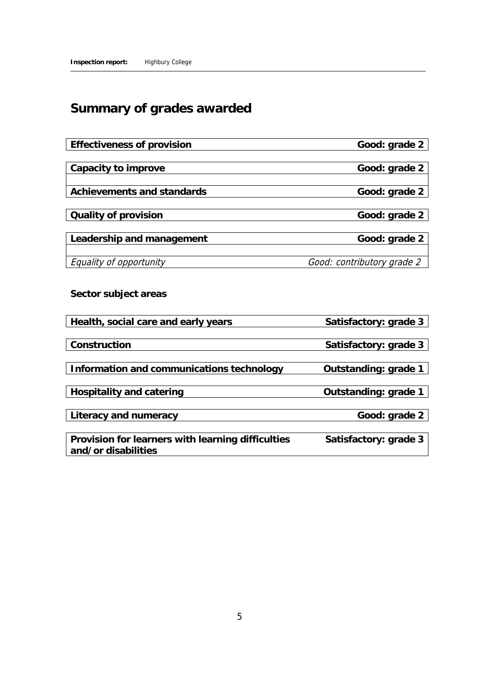# **Summary of grades awarded**

| Effectiveness of provision                                               | Good: grade 2              |
|--------------------------------------------------------------------------|----------------------------|
| Capacity to improve                                                      | Good: grade 2              |
| Achievements and standards                                               | Good: grade 2              |
| Quality of provision                                                     | Good: grade 2              |
| Leadership and management                                                | Good: grade 2              |
| Equality of opportunity                                                  | Good: contributory grade 2 |
| Sector subject areas                                                     |                            |
| Health, social care and early years                                      | Satisfactory: grade 3      |
| Construction                                                             | Satisfactory: grade 3      |
| Information and communications technology                                | Outstanding: grade 1       |
| Hospitality and catering                                                 | Outstanding: grade 1       |
| Literacy and numeracy                                                    | Good: grade 2              |
| Provision for learners with learning difficulties<br>and/or disabilities | Satisfactory: grade 3      |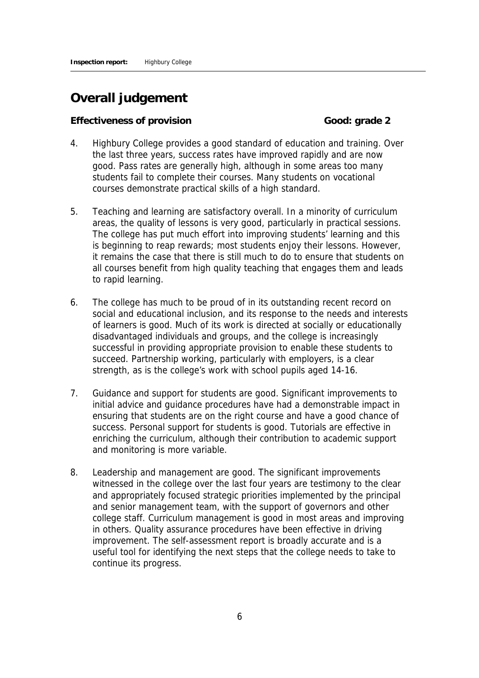# **Overall judgement**

#### **Effectiveness of provision Good: grade 2**

- 4. Highbury College provides a good standard of education and training. Over the last three years, success rates have improved rapidly and are now good. Pass rates are generally high, although in some areas too many students fail to complete their courses. Many students on vocational courses demonstrate practical skills of a high standard.
- 5. Teaching and learning are satisfactory overall. In a minority of curriculum areas, the quality of lessons is very good, particularly in practical sessions. The college has put much effort into improving students' learning and this is beginning to reap rewards; most students enjoy their lessons. However, it remains the case that there is still much to do to ensure that students on all courses benefit from high quality teaching that engages them and leads to rapid learning.
- 6. The college has much to be proud of in its outstanding recent record on social and educational inclusion, and its response to the needs and interests of learners is good. Much of its work is directed at socially or educationally disadvantaged individuals and groups, and the college is increasingly successful in providing appropriate provision to enable these students to succeed. Partnership working, particularly with employers, is a clear strength, as is the college's work with school pupils aged 14-16.
- 7. Guidance and support for students are good. Significant improvements to initial advice and guidance procedures have had a demonstrable impact in ensuring that students are on the right course and have a good chance of success. Personal support for students is good. Tutorials are effective in enriching the curriculum, although their contribution to academic support and monitoring is more variable.
- 8. Leadership and management are good. The significant improvements witnessed in the college over the last four years are testimony to the clear and appropriately focused strategic priorities implemented by the principal and senior management team, with the support of governors and other college staff. Curriculum management is good in most areas and improving in others. Quality assurance procedures have been effective in driving improvement. The self-assessment report is broadly accurate and is a useful tool for identifying the next steps that the college needs to take to continue its progress.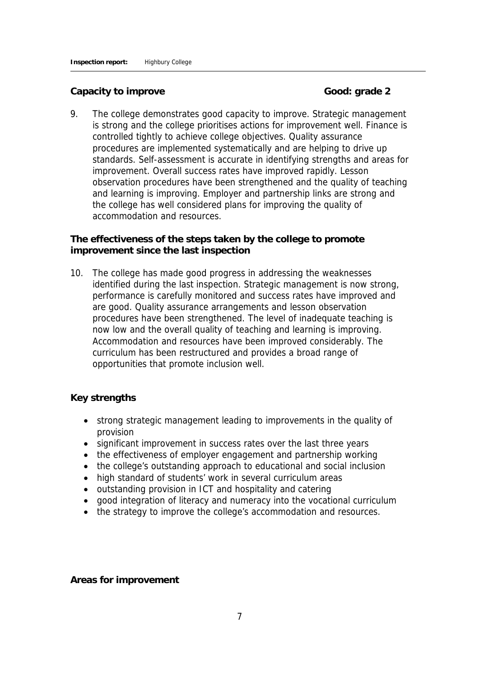#### Capacity to improve **Good:** Good: grade 2

9. The college demonstrates good capacity to improve. Strategic management is strong and the college prioritises actions for improvement well. Finance is controlled tightly to achieve college objectives. Quality assurance procedures are implemented systematically and are helping to drive up standards. Self-assessment is accurate in identifying strengths and areas for improvement. Overall success rates have improved rapidly. Lesson observation procedures have been strengthened and the quality of teaching and learning is improving. Employer and partnership links are strong and the college has well considered plans for improving the quality of accommodation and resources.

**The effectiveness of the steps taken by the college to promote improvement since the last inspection**

10. The college has made good progress in addressing the weaknesses identified during the last inspection. Strategic management is now strong, performance is carefully monitored and success rates have improved and are good. Quality assurance arrangements and lesson observation procedures have been strengthened. The level of inadequate teaching is now low and the overall quality of teaching and learning is improving. Accommodation and resources have been improved considerably. The curriculum has been restructured and provides a broad range of opportunities that promote inclusion well.

#### **Key strengths**

- strong strategic management leading to improvements in the quality of provision
- significant improvement in success rates over the last three years
- the effectiveness of employer engagement and partnership working
- the college's outstanding approach to educational and social inclusion
- high standard of students' work in several curriculum areas
- outstanding provision in ICT and hospitality and catering
- good integration of literacy and numeracy into the vocational curriculum
- the strategy to improve the college's accommodation and resources.

**Areas for improvement**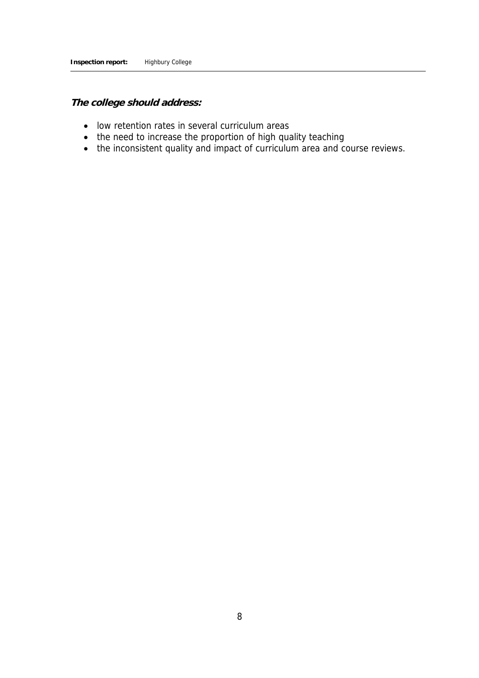**The college should address:**

- low retention rates in several curriculum areas
- the need to increase the proportion of high quality teaching
- the inconsistent quality and impact of curriculum area and course reviews.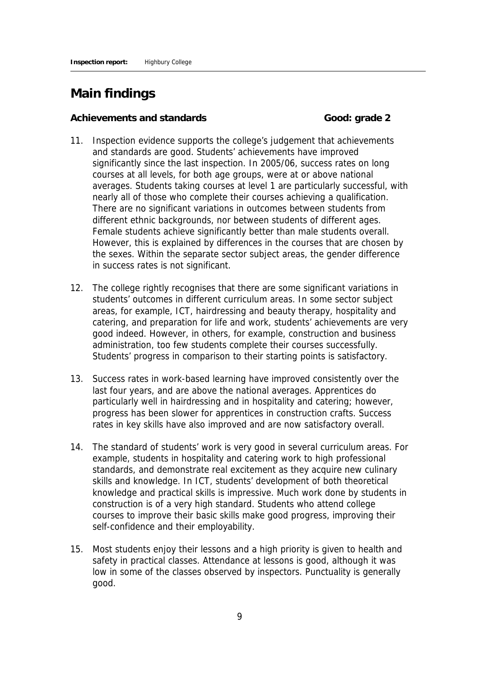# **Main findings**

Achievements and standards **Good:** Good: grade 2

- 11. Inspection evidence supports the college's judgement that achievements and standards are good. Students' achievements have improved significantly since the last inspection. In 2005/06, success rates on long courses at all levels, for both age groups, were at or above national averages. Students taking courses at level 1 are particularly successful, with nearly all of those who complete their courses achieving a qualification. There are no significant variations in outcomes between students from different ethnic backgrounds, nor between students of different ages. Female students achieve significantly better than male students overall. However, this is explained by differences in the courses that are chosen by the sexes. Within the separate sector subject areas, the gender difference in success rates is not significant.
- 12. The college rightly recognises that there are some significant variations in students' outcomes in different curriculum areas. In some sector subject areas, for example, ICT, hairdressing and beauty therapy, hospitality and catering, and preparation for life and work, students' achievements are very good indeed. However, in others, for example, construction and business administration, too few students complete their courses successfully. Students' progress in comparison to their starting points is satisfactory.
- 13. Success rates in work-based learning have improved consistently over the last four years, and are above the national averages. Apprentices do particularly well in hairdressing and in hospitality and catering; however, progress has been slower for apprentices in construction crafts. Success rates in key skills have also improved and are now satisfactory overall.
- 14. The standard of students' work is very good in several curriculum areas. For example, students in hospitality and catering work to high professional standards, and demonstrate real excitement as they acquire new culinary skills and knowledge. In ICT, students' development of both theoretical knowledge and practical skills is impressive. Much work done by students in construction is of a very high standard. Students who attend college courses to improve their basic skills make good progress, improving their self-confidence and their employability.
- 15. Most students enjoy their lessons and a high priority is given to health and safety in practical classes. Attendance at lessons is good, although it was low in some of the classes observed by inspectors. Punctuality is generally good.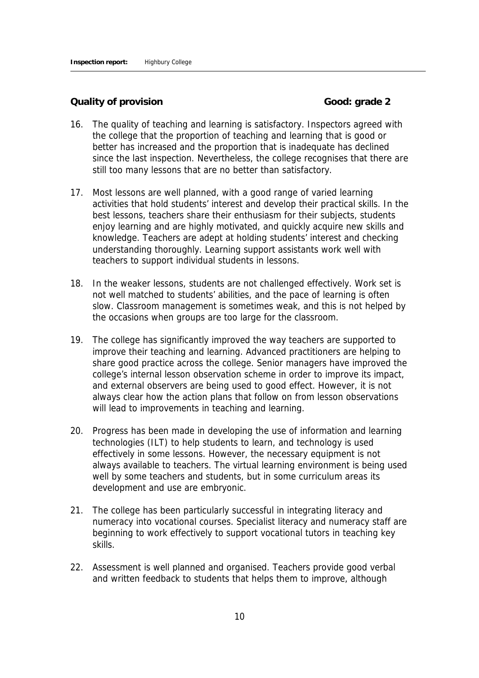**Quality of provision Good: grade 2** 

- 16. The quality of teaching and learning is satisfactory. Inspectors agreed with the college that the proportion of teaching and learning that is good or better has increased and the proportion that is inadequate has declined since the last inspection. Nevertheless, the college recognises that there are still too many lessons that are no better than satisfactory.
- 17. Most lessons are well planned, with a good range of varied learning activities that hold students' interest and develop their practical skills. In the best lessons, teachers share their enthusiasm for their subjects, students enjoy learning and are highly motivated, and quickly acquire new skills and knowledge. Teachers are adept at holding students' interest and checking understanding thoroughly. Learning support assistants work well with teachers to support individual students in lessons.
- 18. In the weaker lessons, students are not challenged effectively. Work set is not well matched to students' abilities, and the pace of learning is often slow. Classroom management is sometimes weak, and this is not helped by the occasions when groups are too large for the classroom.
- 19. The college has significantly improved the way teachers are supported to improve their teaching and learning. Advanced practitioners are helping to share good practice across the college. Senior managers have improved the college's internal lesson observation scheme in order to improve its impact, and external observers are being used to good effect. However, it is not always clear how the action plans that follow on from lesson observations will lead to improvements in teaching and learning.
- 20. Progress has been made in developing the use of information and learning technologies (ILT) to help students to learn, and technology is used effectively in some lessons. However, the necessary equipment is not always available to teachers. The virtual learning environment is being used well by some teachers and students, but in some curriculum areas its development and use are embryonic.
- 21. The college has been particularly successful in integrating literacy and numeracy into vocational courses. Specialist literacy and numeracy staff are beginning to work effectively to support vocational tutors in teaching key skills.
- 22. Assessment is well planned and organised. Teachers provide good verbal and written feedback to students that helps them to improve, although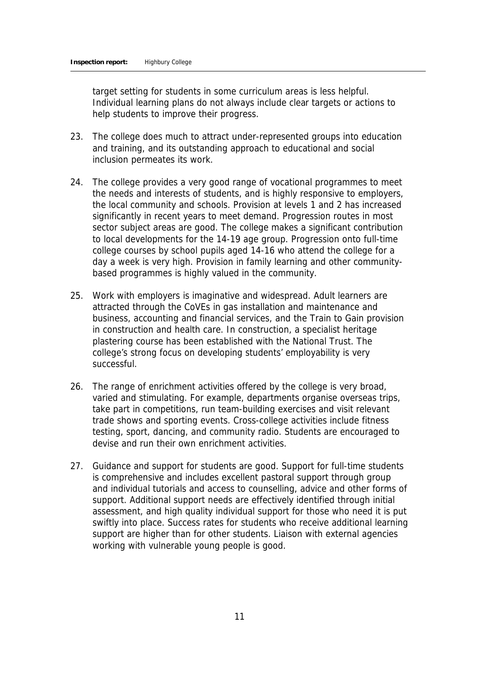target setting for students in some curriculum areas is less helpful. Individual learning plans do not always include clear targets or actions to help students to improve their progress.

- 23. The college does much to attract under-represented groups into education and training, and its outstanding approach to educational and social inclusion permeates its work.
- 24. The college provides a very good range of vocational programmes to meet the needs and interests of students, and is highly responsive to employers, the local community and schools. Provision at levels 1 and 2 has increased significantly in recent years to meet demand. Progression routes in most sector subject areas are good. The college makes a significant contribution to local developments for the 14-19 age group. Progression onto full-time college courses by school pupils aged 14-16 who attend the college for a day a week is very high. Provision in family learning and other communitybased programmes is highly valued in the community.
- 25. Work with employers is imaginative and widespread. Adult learners are attracted through the CoVEs in gas installation and maintenance and business, accounting and financial services, and the Train to Gain provision in construction and health care. In construction, a specialist heritage plastering course has been established with the National Trust. The college's strong focus on developing students' employability is very successful.
- 26. The range of enrichment activities offered by the college is very broad, varied and stimulating. For example, departments organise overseas trips, take part in competitions, run team-building exercises and visit relevant trade shows and sporting events. Cross-college activities include fitness testing, sport, dancing, and community radio. Students are encouraged to devise and run their own enrichment activities.
- 27. Guidance and support for students are good. Support for full-time students is comprehensive and includes excellent pastoral support through group and individual tutorials and access to counselling, advice and other forms of support. Additional support needs are effectively identified through initial assessment, and high quality individual support for those who need it is put swiftly into place. Success rates for students who receive additional learning support are higher than for other students. Liaison with external agencies working with vulnerable young people is good.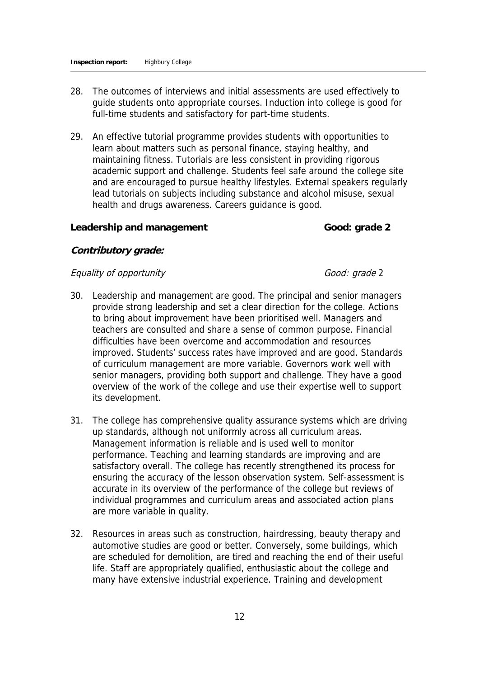- 28. The outcomes of interviews and initial assessments are used effectively to guide students onto appropriate courses. Induction into college is good for full-time students and satisfactory for part-time students.
- 29. An effective tutorial programme provides students with opportunities to learn about matters such as personal finance, staying healthy, and maintaining fitness. Tutorials are less consistent in providing rigorous academic support and challenge. Students feel safe around the college site and are encouraged to pursue healthy lifestyles. External speakers regularly lead tutorials on subjects including substance and alcohol misuse, sexual health and drugs awareness. Careers guidance is good.

#### Leadership and management **Cood:** Good: grade 2

#### **Contributory grade:**

#### Equality of opportunity Equality Good: grade 2

- 30. Leadership and management are good. The principal and senior managers provide strong leadership and set a clear direction for the college. Actions to bring about improvement have been prioritised well. Managers and teachers are consulted and share a sense of common purpose. Financial difficulties have been overcome and accommodation and resources improved. Students' success rates have improved and are good. Standards of curriculum management are more variable. Governors work well with senior managers, providing both support and challenge. They have a good overview of the work of the college and use their expertise well to support its development.
- 31. The college has comprehensive quality assurance systems which are driving up standards, although not uniformly across all curriculum areas. Management information is reliable and is used well to monitor performance. Teaching and learning standards are improving and are satisfactory overall. The college has recently strengthened its process for ensuring the accuracy of the lesson observation system. Self-assessment is accurate in its overview of the performance of the college but reviews of individual programmes and curriculum areas and associated action plans are more variable in quality.
- 32. Resources in areas such as construction, hairdressing, beauty therapy and automotive studies are good or better. Conversely, some buildings, which are scheduled for demolition, are tired and reaching the end of their useful life. Staff are appropriately qualified, enthusiastic about the college and many have extensive industrial experience. Training and development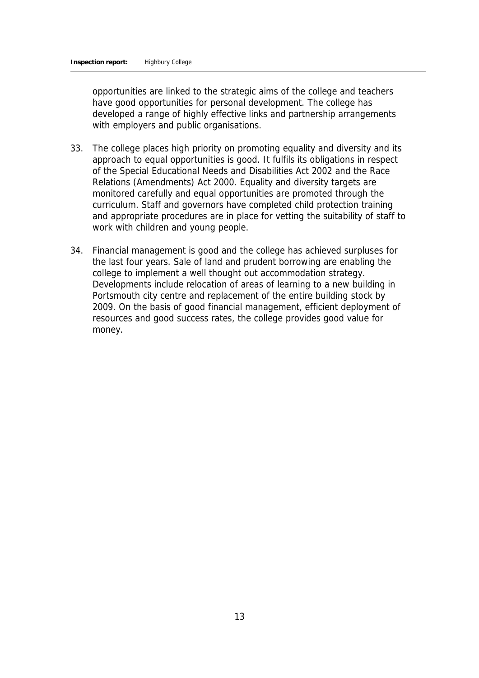opportunities are linked to the strategic aims of the college and teachers have good opportunities for personal development. The college has developed a range of highly effective links and partnership arrangements with employers and public organisations.

- 33. The college places high priority on promoting equality and diversity and its approach to equal opportunities is good. It fulfils its obligations in respect of the Special Educational Needs and Disabilities Act 2002 and the Race Relations (Amendments) Act 2000. Equality and diversity targets are monitored carefully and equal opportunities are promoted through the curriculum. Staff and governors have completed child protection training and appropriate procedures are in place for vetting the suitability of staff to work with children and young people.
- 34. Financial management is good and the college has achieved surpluses for the last four years. Sale of land and prudent borrowing are enabling the college to implement a well thought out accommodation strategy. Developments include relocation of areas of learning to a new building in Portsmouth city centre and replacement of the entire building stock by 2009. On the basis of good financial management, efficient deployment of resources and good success rates, the college provides good value for money.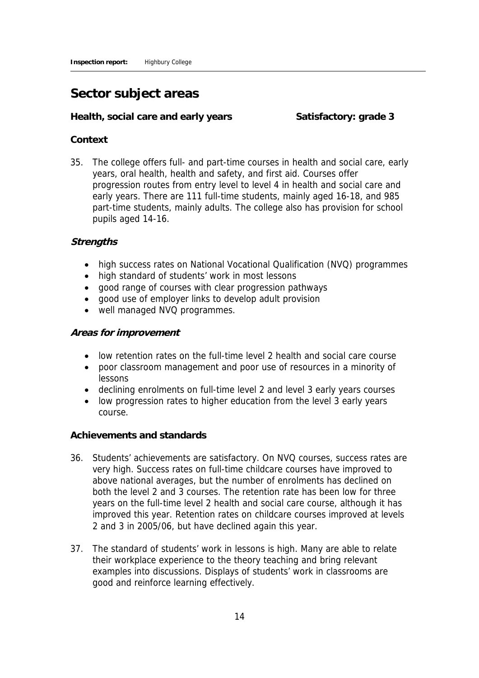## **Sector subject areas**

Health, social care and early years Satisfactory: grade 3

#### **Context**

35. The college offers full- and part-time courses in health and social care, early years, oral health, health and safety, and first aid. Courses offer progression routes from entry level to level 4 in health and social care and early years. There are 111 full-time students, mainly aged 16-18, and 985 part-time students, mainly adults. The college also has provision for school pupils aged 14-16.

#### **Strengths**

- high success rates on National Vocational Qualification (NVQ) programmes
- high standard of students' work in most lessons
- good range of courses with clear progression pathways
- good use of employer links to develop adult provision
- well managed NVQ programmes.

#### **Areas for improvement**

- low retention rates on the full-time level 2 health and social care course
- poor classroom management and poor use of resources in a minority of lessons
- declining enrolments on full-time level 2 and level 3 early years courses
- low progression rates to higher education from the level 3 early years course.

#### **Achievements and standards**

- 36. Students' achievements are satisfactory. On NVQ courses, success rates are very high. Success rates on full-time childcare courses have improved to above national averages, but the number of enrolments has declined on both the level 2 and 3 courses. The retention rate has been low for three years on the full-time level 2 health and social care course, although it has improved this year. Retention rates on childcare courses improved at levels 2 and 3 in 2005/06, but have declined again this year.
- 37. The standard of students' work in lessons is high. Many are able to relate their workplace experience to the theory teaching and bring relevant examples into discussions. Displays of students' work in classrooms are good and reinforce learning effectively.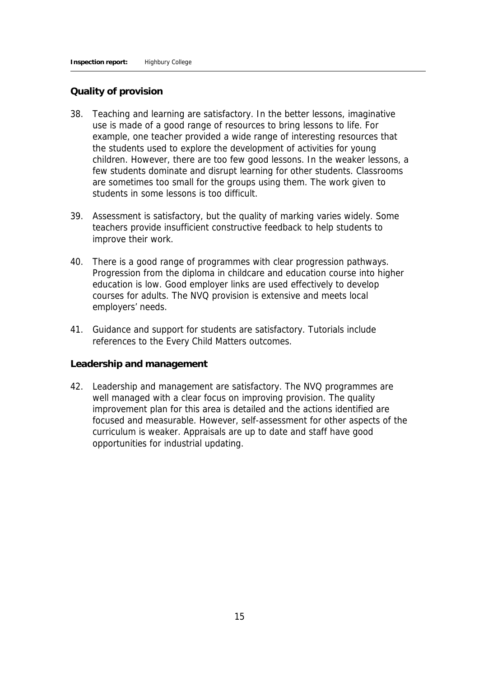#### **Quality of provision**

- 38. Teaching and learning are satisfactory. In the better lessons, imaginative use is made of a good range of resources to bring lessons to life. For example, one teacher provided a wide range of interesting resources that the students used to explore the development of activities for young children. However, there are too few good lessons. In the weaker lessons, a few students dominate and disrupt learning for other students. Classrooms are sometimes too small for the groups using them. The work given to students in some lessons is too difficult.
- 39. Assessment is satisfactory, but the quality of marking varies widely. Some teachers provide insufficient constructive feedback to help students to improve their work.
- 40. There is a good range of programmes with clear progression pathways. Progression from the diploma in childcare and education course into higher education is low. Good employer links are used effectively to develop courses for adults. The NVQ provision is extensive and meets local employers' needs.
- 41. Guidance and support for students are satisfactory. Tutorials include references to the Every Child Matters outcomes.

#### **Leadership and management**

42. Leadership and management are satisfactory. The NVQ programmes are well managed with a clear focus on improving provision. The quality improvement plan for this area is detailed and the actions identified are focused and measurable. However, self-assessment for other aspects of the curriculum is weaker. Appraisals are up to date and staff have good opportunities for industrial updating.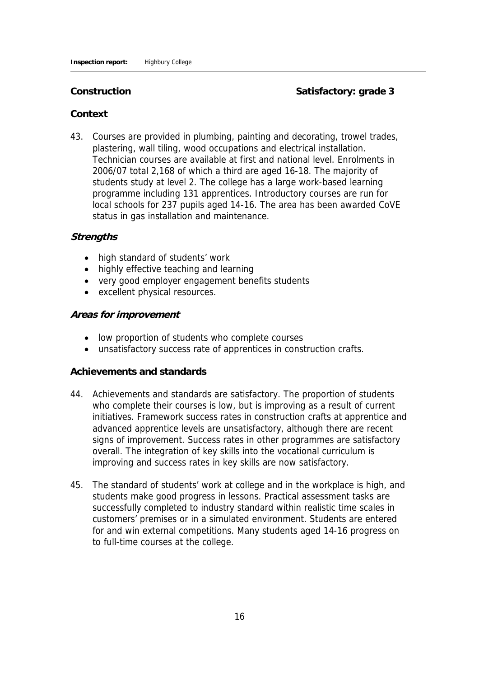Construction **Construction** Satisfactory: grade 3

#### **Context**

43. Courses are provided in plumbing, painting and decorating, trowel trades, plastering, wall tiling, wood occupations and electrical installation. Technician courses are available at first and national level. Enrolments in 2006/07 total 2,168 of which a third are aged 16-18. The majority of students study at level 2. The college has a large work-based learning programme including 131 apprentices. Introductory courses are run for local schools for 237 pupils aged 14-16. The area has been awarded CoVE status in gas installation and maintenance.

#### **Strengths**

- high standard of students' work
- highly effective teaching and learning
- very good employer engagement benefits students
- excellent physical resources.

#### **Areas for improvement**

- low proportion of students who complete courses
- unsatisfactory success rate of apprentices in construction crafts.

#### **Achievements and standards**

- 44. Achievements and standards are satisfactory. The proportion of students who complete their courses is low, but is improving as a result of current initiatives. Framework success rates in construction crafts at apprentice and advanced apprentice levels are unsatisfactory, although there are recent signs of improvement. Success rates in other programmes are satisfactory overall. The integration of key skills into the vocational curriculum is improving and success rates in key skills are now satisfactory.
- 45. The standard of students' work at college and in the workplace is high, and students make good progress in lessons. Practical assessment tasks are successfully completed to industry standard within realistic time scales in customers' premises or in a simulated environment. Students are entered for and win external competitions. Many students aged 14-16 progress on to full-time courses at the college.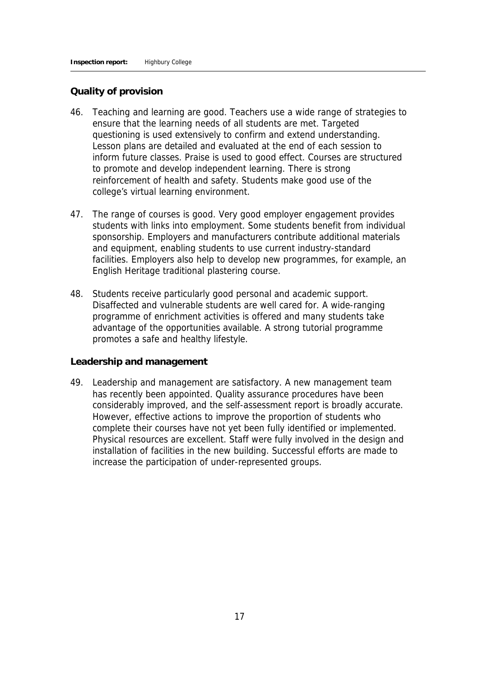#### **Quality of provision**

- 46. Teaching and learning are good. Teachers use a wide range of strategies to ensure that the learning needs of all students are met. Targeted questioning is used extensively to confirm and extend understanding. Lesson plans are detailed and evaluated at the end of each session to inform future classes. Praise is used to good effect. Courses are structured to promote and develop independent learning. There is strong reinforcement of health and safety. Students make good use of the college's virtual learning environment.
- 47. The range of courses is good. Very good employer engagement provides students with links into employment. Some students benefit from individual sponsorship. Employers and manufacturers contribute additional materials and equipment, enabling students to use current industry-standard facilities. Employers also help to develop new programmes, for example, an English Heritage traditional plastering course.
- 48. Students receive particularly good personal and academic support. Disaffected and vulnerable students are well cared for. A wide-ranging programme of enrichment activities is offered and many students take advantage of the opportunities available. A strong tutorial programme promotes a safe and healthy lifestyle.

#### **Leadership and management**

49. Leadership and management are satisfactory. A new management team has recently been appointed. Quality assurance procedures have been considerably improved, and the self-assessment report is broadly accurate. However, effective actions to improve the proportion of students who complete their courses have not yet been fully identified or implemented. Physical resources are excellent. Staff were fully involved in the design and installation of facilities in the new building. Successful efforts are made to increase the participation of under-represented groups.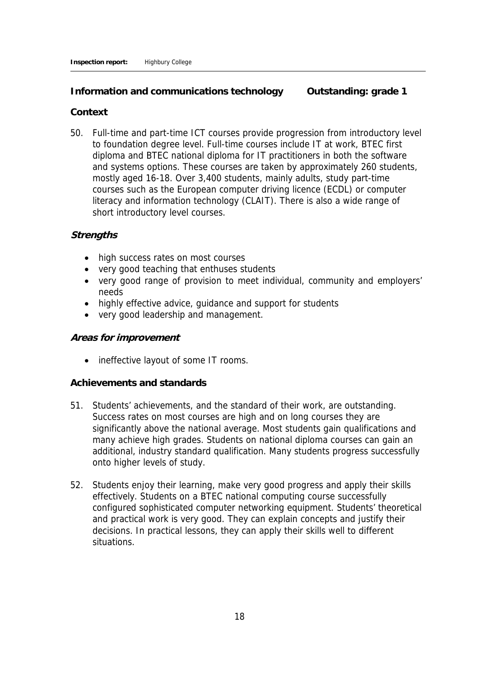**Information and communications technology Outstanding: grade 1** 

#### **Context**

50. Full-time and part-time ICT courses provide progression from introductory level to foundation degree level. Full-time courses include IT at work, BTEC first diploma and BTEC national diploma for IT practitioners in both the software and systems options. These courses are taken by approximately 260 students, mostly aged 16-18. Over 3,400 students, mainly adults, study part-time courses such as the European computer driving licence (ECDL) or computer literacy and information technology (CLAIT). There is also a wide range of short introductory level courses.

#### **Strengths**

- high success rates on most courses
- very good teaching that enthuses students
- very good range of provision to meet individual, community and employers' needs
- highly effective advice, guidance and support for students
- very good leadership and management.

#### **Areas for improvement**

• ineffective layout of some IT rooms.

#### **Achievements and standards**

- 51. Students' achievements, and the standard of their work, are outstanding. Success rates on most courses are high and on long courses they are significantly above the national average. Most students gain qualifications and many achieve high grades. Students on national diploma courses can gain an additional, industry standard qualification. Many students progress successfully onto higher levels of study.
- 52. Students enjoy their learning, make very good progress and apply their skills effectively. Students on a BTEC national computing course successfully configured sophisticated computer networking equipment. Students' theoretical and practical work is very good. They can explain concepts and justify their decisions. In practical lessons, they can apply their skills well to different situations.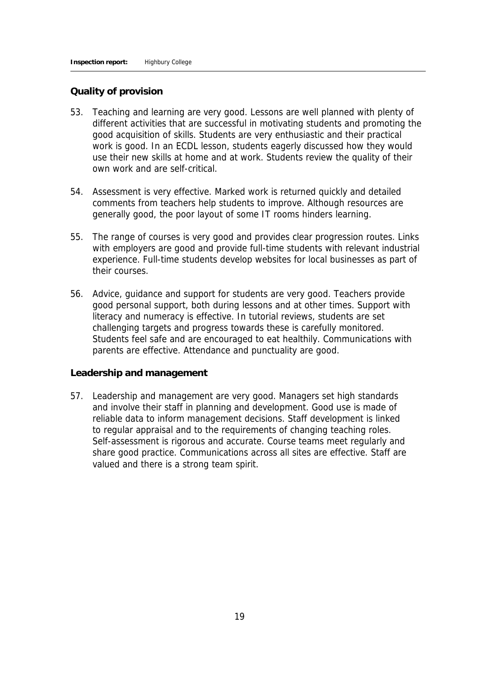#### **Quality of provision**

- 53. Teaching and learning are very good. Lessons are well planned with plenty of different activities that are successful in motivating students and promoting the good acquisition of skills. Students are very enthusiastic and their practical work is good. In an ECDL lesson, students eagerly discussed how they would use their new skills at home and at work. Students review the quality of their own work and are self-critical.
- 54. Assessment is very effective. Marked work is returned quickly and detailed comments from teachers help students to improve. Although resources are generally good, the poor layout of some IT rooms hinders learning.
- 55. The range of courses is very good and provides clear progression routes. Links with employers are good and provide full-time students with relevant industrial experience. Full-time students develop websites for local businesses as part of their courses.
- 56. Advice, guidance and support for students are very good. Teachers provide good personal support, both during lessons and at other times. Support with literacy and numeracy is effective. In tutorial reviews, students are set challenging targets and progress towards these is carefully monitored. Students feel safe and are encouraged to eat healthily. Communications with parents are effective. Attendance and punctuality are good.

#### **Leadership and management**

57. Leadership and management are very good. Managers set high standards and involve their staff in planning and development. Good use is made of reliable data to inform management decisions. Staff development is linked to regular appraisal and to the requirements of changing teaching roles. Self-assessment is rigorous and accurate. Course teams meet regularly and share good practice. Communications across all sites are effective. Staff are valued and there is a strong team spirit.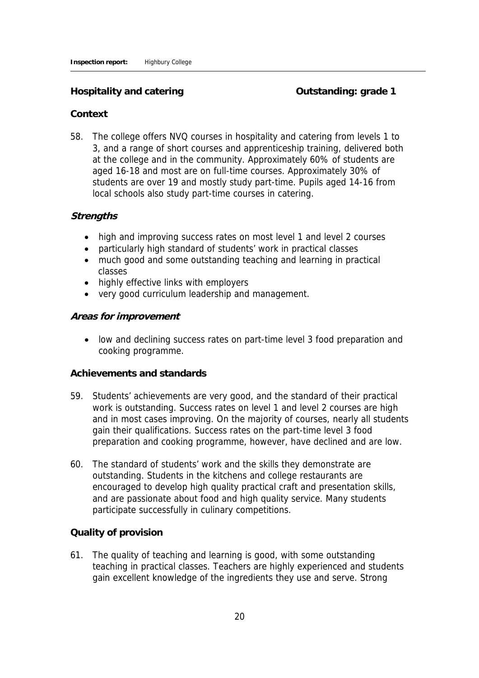#### **Hospitality and catering the category of the Context** Contracting: grade 1

#### **Context**

58. The college offers NVQ courses in hospitality and catering from levels 1 to 3, and a range of short courses and apprenticeship training, delivered both at the college and in the community. Approximately 60% of students are aged 16-18 and most are on full-time courses. Approximately 30% of students are over 19 and mostly study part-time. Pupils aged 14-16 from local schools also study part-time courses in catering.

#### **Strengths**

- high and improving success rates on most level 1 and level 2 courses
- particularly high standard of students' work in practical classes
- much good and some outstanding teaching and learning in practical classes
- highly effective links with employers
- very good curriculum leadership and management.

#### **Areas for improvement**

 low and declining success rates on part-time level 3 food preparation and cooking programme.

#### **Achievements and standards**

- 59. Students' achievements are very good, and the standard of their practical work is outstanding. Success rates on level 1 and level 2 courses are high and in most cases improving. On the majority of courses, nearly all students gain their qualifications. Success rates on the part-time level 3 food preparation and cooking programme, however, have declined and are low.
- 60. The standard of students' work and the skills they demonstrate are outstanding. Students in the kitchens and college restaurants are encouraged to develop high quality practical craft and presentation skills, and are passionate about food and high quality service. Many students participate successfully in culinary competitions.

#### **Quality of provision**

61. The quality of teaching and learning is good, with some outstanding teaching in practical classes. Teachers are highly experienced and students gain excellent knowledge of the ingredients they use and serve. Strong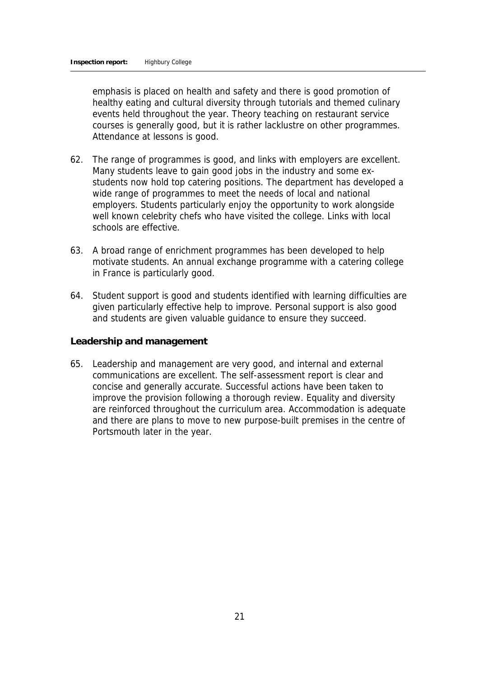emphasis is placed on health and safety and there is good promotion of healthy eating and cultural diversity through tutorials and themed culinary events held throughout the year. Theory teaching on restaurant service courses is generally good, but it is rather lacklustre on other programmes. Attendance at lessons is good.

- 62. The range of programmes is good, and links with employers are excellent. Many students leave to gain good jobs in the industry and some exstudents now hold top catering positions. The department has developed a wide range of programmes to meet the needs of local and national employers. Students particularly enjoy the opportunity to work alongside well known celebrity chefs who have visited the college. Links with local schools are effective.
- 63. A broad range of enrichment programmes has been developed to help motivate students. An annual exchange programme with a catering college in France is particularly good.
- 64. Student support is good and students identified with learning difficulties are given particularly effective help to improve. Personal support is also good and students are given valuable guidance to ensure they succeed.

**Leadership and management**

65. Leadership and management are very good, and internal and external communications are excellent. The self-assessment report is clear and concise and generally accurate. Successful actions have been taken to improve the provision following a thorough review. Equality and diversity are reinforced throughout the curriculum area. Accommodation is adequate and there are plans to move to new purpose-built premises in the centre of Portsmouth later in the year.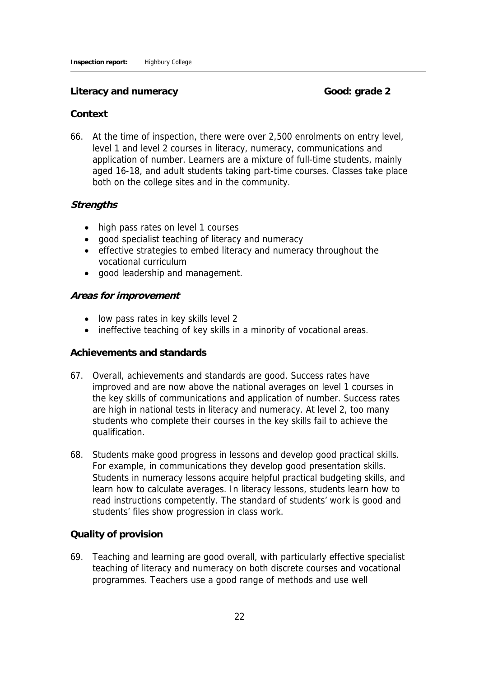#### Literacy and numeracy **Good:** Good: grade 2

#### **Context**

66. At the time of inspection, there were over 2,500 enrolments on entry level, level 1 and level 2 courses in literacy, numeracy, communications and application of number. Learners are a mixture of full-time students, mainly aged 16-18, and adult students taking part-time courses. Classes take place both on the college sites and in the community.

#### **Strengths**

- high pass rates on level 1 courses
- good specialist teaching of literacy and numeracy
- effective strategies to embed literacy and numeracy throughout the vocational curriculum
- good leadership and management.

#### **Areas for improvement**

- low pass rates in key skills level 2
- ineffective teaching of key skills in a minority of vocational areas.

#### **Achievements and standards**

- 67. Overall, achievements and standards are good. Success rates have improved and are now above the national averages on level 1 courses in the key skills of communications and application of number. Success rates are high in national tests in literacy and numeracy. At level 2, too many students who complete their courses in the key skills fail to achieve the qualification.
- 68. Students make good progress in lessons and develop good practical skills. For example, in communications they develop good presentation skills. Students in numeracy lessons acquire helpful practical budgeting skills, and learn how to calculate averages. In literacy lessons, students learn how to read instructions competently. The standard of students' work is good and students' files show progression in class work.

#### **Quality of provision**

69. Teaching and learning are good overall, with particularly effective specialist teaching of literacy and numeracy on both discrete courses and vocational programmes. Teachers use a good range of methods and use well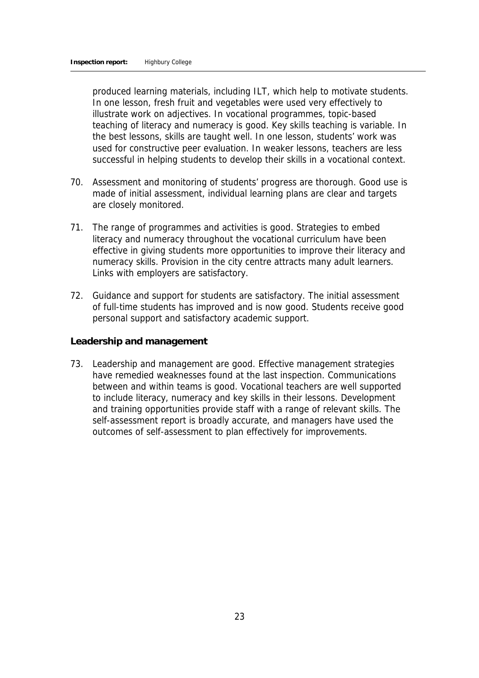produced learning materials, including ILT, which help to motivate students. In one lesson, fresh fruit and vegetables were used very effectively to illustrate work on adjectives. In vocational programmes, topic-based teaching of literacy and numeracy is good. Key skills teaching is variable. In the best lessons, skills are taught well. In one lesson, students' work was used for constructive peer evaluation. In weaker lessons, teachers are less successful in helping students to develop their skills in a vocational context.

- 70. Assessment and monitoring of students' progress are thorough. Good use is made of initial assessment, individual learning plans are clear and targets are closely monitored.
- 71. The range of programmes and activities is good. Strategies to embed literacy and numeracy throughout the vocational curriculum have been effective in giving students more opportunities to improve their literacy and numeracy skills. Provision in the city centre attracts many adult learners. Links with employers are satisfactory.
- 72. Guidance and support for students are satisfactory. The initial assessment of full-time students has improved and is now good. Students receive good personal support and satisfactory academic support.

**Leadership and management**

73. Leadership and management are good. Effective management strategies have remedied weaknesses found at the last inspection. Communications between and within teams is good. Vocational teachers are well supported to include literacy, numeracy and key skills in their lessons. Development and training opportunities provide staff with a range of relevant skills. The self-assessment report is broadly accurate, and managers have used the outcomes of self-assessment to plan effectively for improvements.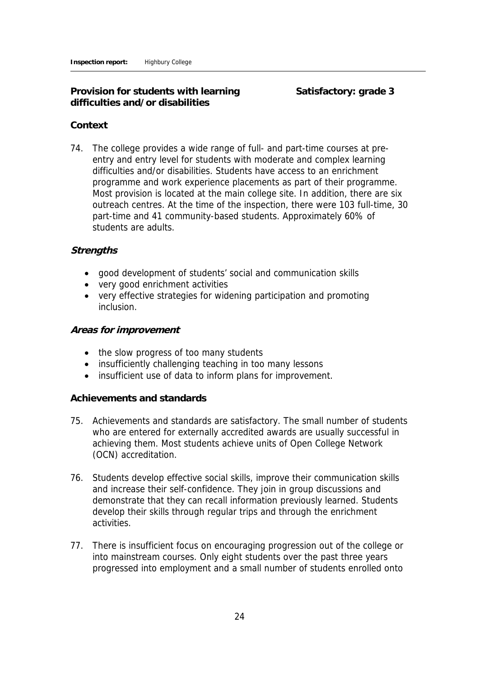**Provision for students with learning Satisfactory: grade 3 difficulties and/or disabilities**

#### **Context**

74. The college provides a wide range of full- and part-time courses at preentry and entry level for students with moderate and complex learning difficulties and/or disabilities. Students have access to an enrichment programme and work experience placements as part of their programme. Most provision is located at the main college site. In addition, there are six outreach centres. At the time of the inspection, there were 103 full-time, 30 part-time and 41 community-based students. Approximately 60% of students are adults.

#### **Strengths**

- good development of students' social and communication skills
- very good enrichment activities
- very effective strategies for widening participation and promoting inclusion.

#### **Areas for improvement**

- the slow progress of too many students
- insufficiently challenging teaching in too many lessons
- insufficient use of data to inform plans for improvement.

#### **Achievements and standards**

- 75. Achievements and standards are satisfactory. The small number of students who are entered for externally accredited awards are usually successful in achieving them. Most students achieve units of Open College Network (OCN) accreditation.
- 76. Students develop effective social skills, improve their communication skills and increase their self-confidence. They join in group discussions and demonstrate that they can recall information previously learned. Students develop their skills through regular trips and through the enrichment activities.
- 77. There is insufficient focus on encouraging progression out of the college or into mainstream courses. Only eight students over the past three years progressed into employment and a small number of students enrolled onto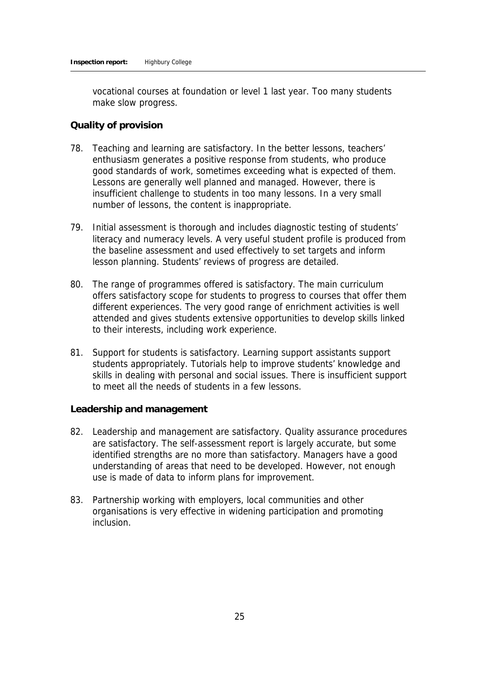vocational courses at foundation or level 1 last year. Too many students make slow progress.

#### **Quality of provision**

- 78. Teaching and learning are satisfactory. In the better lessons, teachers' enthusiasm generates a positive response from students, who produce good standards of work, sometimes exceeding what is expected of them. Lessons are generally well planned and managed. However, there is insufficient challenge to students in too many lessons. In a very small number of lessons, the content is inappropriate.
- 79. Initial assessment is thorough and includes diagnostic testing of students' literacy and numeracy levels. A very useful student profile is produced from the baseline assessment and used effectively to set targets and inform lesson planning. Students' reviews of progress are detailed.
- 80. The range of programmes offered is satisfactory. The main curriculum offers satisfactory scope for students to progress to courses that offer them different experiences. The very good range of enrichment activities is well attended and gives students extensive opportunities to develop skills linked to their interests, including work experience.
- 81. Support for students is satisfactory. Learning support assistants support students appropriately. Tutorials help to improve students' knowledge and skills in dealing with personal and social issues. There is insufficient support to meet all the needs of students in a few lessons.

**Leadership and management**

- 82. Leadership and management are satisfactory. Quality assurance procedures are satisfactory. The self-assessment report is largely accurate, but some identified strengths are no more than satisfactory. Managers have a good understanding of areas that need to be developed. However, not enough use is made of data to inform plans for improvement.
- 83. Partnership working with employers, local communities and other organisations is very effective in widening participation and promoting inclusion.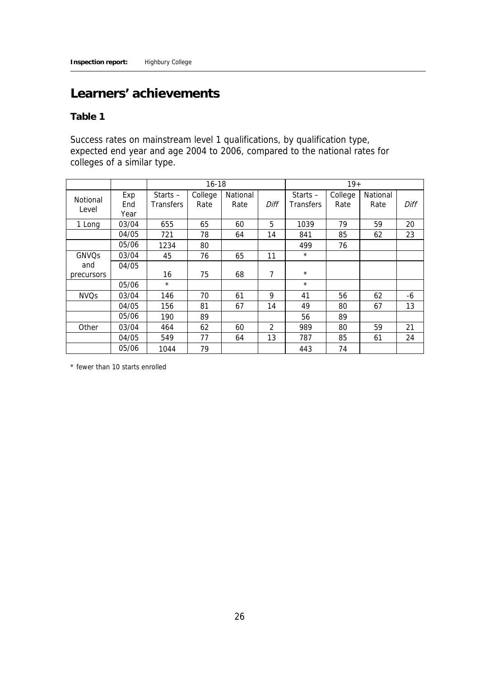## **Learners' achievements**

**Table 1** 

Success rates on mainstream level 1 qualifications, by qualification type, expected end year and age 2004 to 2006, compared to the national rates for colleges of a similar type.

|                         |                    | $16 - 18$                      |                 |                  |      |                                | $19+$           |                  |      |
|-------------------------|--------------------|--------------------------------|-----------------|------------------|------|--------------------------------|-----------------|------------------|------|
| Notional<br>Level       | Exp<br>End<br>Year | Starts $-$<br><b>Transfers</b> | College<br>Rate | National<br>Rate | Diff | Starts $-$<br><b>Transfers</b> | College<br>Rate | National<br>Rate | Diff |
| 1 Long                  | 03/04              | 655                            | 65              | 60               | 5    | 1039                           | 79              | 59               | 20   |
|                         | 04/05              | 721                            | 78              | 64               | 14   | 841                            | 85              | 62               | 23   |
|                         | 05/06              | 1234                           | 80              |                  |      | 499                            | 76              |                  |      |
| <b>GNVO<sub>S</sub></b> | 03/04              | 45                             | 76              | 65               | 11   | $^{\star}$                     |                 |                  |      |
| and                     | 04/05              |                                |                 |                  |      |                                |                 |                  |      |
| precursors              |                    | 16                             | 75              | 68               | 7    | $^{\star}$                     |                 |                  |      |
|                         | 05/06              | $\star$                        |                 |                  |      | $^{\star}$                     |                 |                  |      |
| <b>NVQs</b>             | 03/04              | 146                            | 70              | 61               | 9    | 41                             | 56              | 62               | -6   |
|                         | 04/05              | 156                            | 81              | 67               | 14   | 49                             | 80              | 67               | 13   |
|                         | 05/06              | 190                            | 89              |                  |      | 56                             | 89              |                  |      |
| Other                   | 03/04              | 464                            | 62              | 60               | 2    | 989                            | 80              | 59               | 21   |
|                         | 04/05              | 549                            | 77              | 64               | 13   | 787                            | 85              | 61               | 24   |
|                         | 05/06              | 1044                           | 79              |                  |      | 443                            | 74              |                  |      |

\* fewer than 10 starts enrolled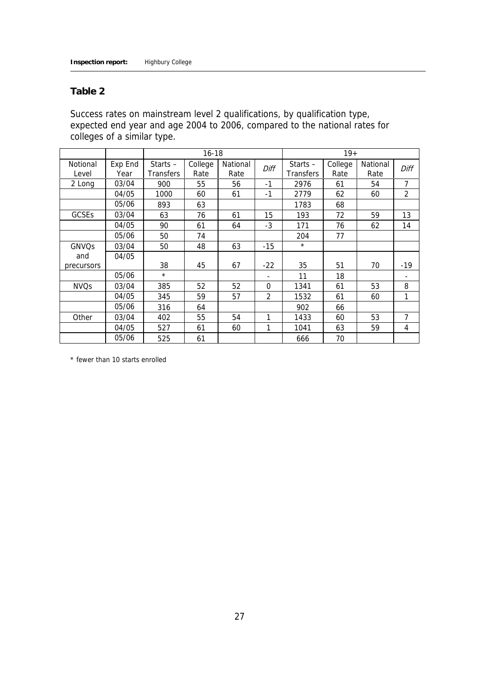#### **Table 2**

Success rates on mainstream level 2 qualifications, by qualification type, expected end year and age 2004 to 2006, compared to the national rates for colleges of a similar type.

|             |         | $16 - 18$        |         |          |                |                  | $19+$   |          |       |
|-------------|---------|------------------|---------|----------|----------------|------------------|---------|----------|-------|
| Notional    | Exp End | Starts $-$       | College | National | Diff           | Starts $-$       | College | National | Diff  |
| Level       | Year    | <b>Transfers</b> | Rate    | Rate     |                | <b>Transfers</b> | Rate    | Rate     |       |
| 2 Long      | 03/04   | 900              | 55      | 56       | $-1$           | 2976             | 61      | 54       | 7     |
|             | 04/05   | 1000             | 60      | 61       | $-1$           | 2779             | 62      | 60       | 2     |
|             | 05/06   | 893              | 63      |          |                | 1783             | 68      |          |       |
| GCSEs       | 03/04   | 63               | 76      | 61       | 15             | 193              | 72      | 59       | 13    |
|             | 04/05   | 90               | 61      | 64       | $-3$           | 171              | 76      | 62       | 14    |
|             | 05/06   | 50               | 74      |          |                | 204              | 77      |          |       |
| GNVQs       | 03/04   | 50               | 48      | 63       | $-15$          | $\star$          |         |          |       |
| and         | 04/05   |                  |         |          |                |                  |         |          |       |
| precursors  |         | 38               | 45      | 67       | $-22$          | 35               | 51      | 70       | $-19$ |
|             | 05/06   | $^{\star}$       |         |          |                | 11               | 18      |          |       |
| <b>NVQs</b> | 03/04   | 385              | 52      | 52       | $\Omega$       | 1341             | 61      | 53       | 8     |
|             | 04/05   | 345              | 59      | 57       | $\overline{2}$ | 1532             | 61      | 60       | 1     |
|             | 05/06   | 316              | 64      |          |                | 902              | 66      |          |       |
| Other       | 03/04   | 402              | 55      | 54       | 1              | 1433             | 60      | 53       | 7     |
|             | 04/05   | 527              | 61      | 60       | 1              | 1041             | 63      | 59       | 4     |
|             | 05/06   | 525              | 61      |          |                | 666              | 70      |          |       |

\* fewer than 10 starts enrolled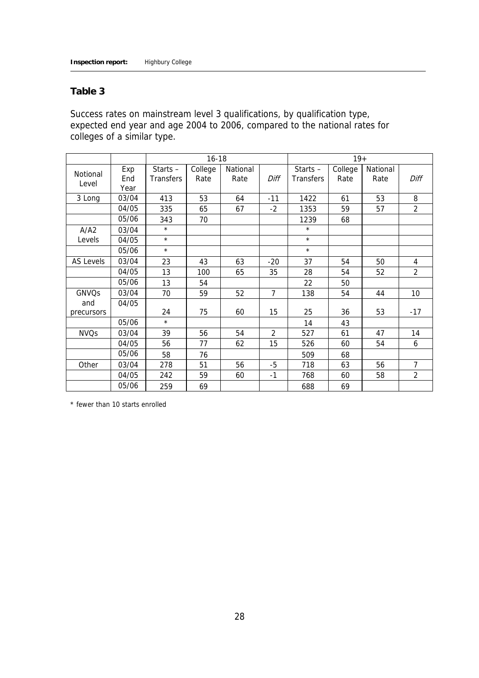#### **Table 3**

Success rates on mainstream level 3 qualifications, by qualification type, expected end year and age 2004 to 2006, compared to the national rates for colleges of a similar type.

|                  |       |            | $16 - 18$ |          |                | $19+$            |         |          |                |
|------------------|-------|------------|-----------|----------|----------------|------------------|---------|----------|----------------|
| Notional         | Exp   | Starts $-$ | College   | National |                | Starts $-$       | College | National |                |
| Level            | End   | Transfers  | Rate      | Rate     | Diff           | <b>Transfers</b> | Rate    | Rate     | Diff           |
|                  | Year  |            |           |          |                |                  |         |          |                |
| 3 Long           | 03/04 | 413        | 53        | 64       | $-11$          | 1422             | 61      | 53       | 8              |
|                  | 04/05 | 335        | 65        | 67       | $-2$           | 1353             | 59      | 57       | 2              |
|                  | 05/06 | 343        | 70        |          |                | 1239             | 68      |          |                |
| A/A2             | 03/04 | $\star$    |           |          |                | $\star$          |         |          |                |
| Levels           | 04/05 | $\star$    |           |          |                | $\star$          |         |          |                |
|                  | 05/06 | $\star$    |           |          |                | $\star$          |         |          |                |
| <b>AS Levels</b> | 03/04 | 23         | 43        | 63       | $-20$          | 37               | 54      | 50       | 4              |
|                  | 04/05 | 13         | 100       | 65       | 35             | 28               | 54      | 52       | $\overline{2}$ |
|                  | 05/06 | 13         | 54        |          |                | 22               | 50      |          |                |
| <b>GNVQs</b>     | 03/04 | 70         | 59        | 52       | $\overline{7}$ | 138              | 54      | 44       | 10             |
| and              | 04/05 |            |           |          |                |                  |         |          |                |
| precursors       |       | 24         | 75        | 60       | 15             | 25               | 36      | 53       | $-17$          |
|                  | 05/06 | $\star$    |           |          |                | 14               | 43      |          |                |
| <b>NVQs</b>      | 03/04 | 39         | 56        | 54       | 2              | 527              | 61      | 47       | 14             |
|                  | 04/05 | 56         | 77        | 62       | 15             | 526              | 60      | 54       | 6              |
|                  | 05/06 | 58         | 76        |          |                | 509              | 68      |          |                |
| Other            | 03/04 | 278        | 51        | 56       | -5             | 718              | 63      | 56       | 7              |
|                  | 04/05 | 242        | 59        | 60       | $-1$           | 768              | 60      | 58       | $\overline{2}$ |
|                  | 05/06 | 259        | 69        |          |                | 688              | 69      |          |                |

\* fewer than 10 starts enrolled